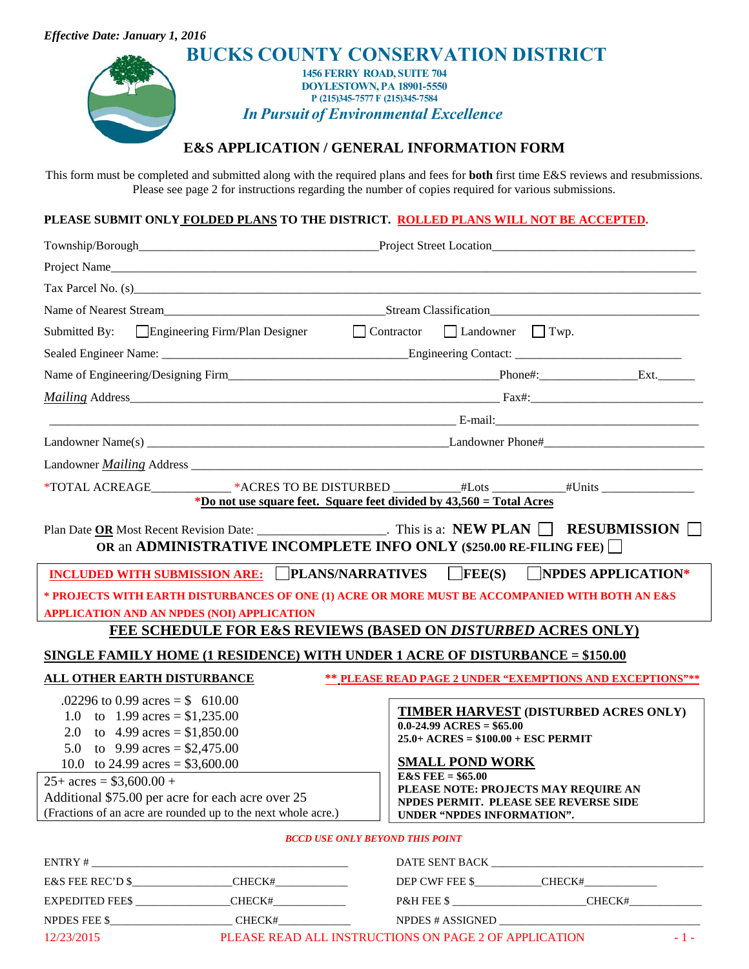| <b>Effective Date: January 1, 2016</b>                                                                                                                                                                                                            |                                                                      |
|---------------------------------------------------------------------------------------------------------------------------------------------------------------------------------------------------------------------------------------------------|----------------------------------------------------------------------|
|                                                                                                                                                                                                                                                   | <b>BUCKS COUNTY CONSERVATION DISTRICT</b>                            |
| 1456 FERRY ROAD, SUITE 704                                                                                                                                                                                                                        |                                                                      |
| <b>DOYLESTOWN, PA 18901-5550</b><br>P (215)345-7577 F (215)345-7584                                                                                                                                                                               |                                                                      |
| <b>In Pursuit of Environmental Excellence</b>                                                                                                                                                                                                     |                                                                      |
| <b>E&amp;S APPLICATION/GENERAL INFORMATION FORM</b>                                                                                                                                                                                               |                                                                      |
|                                                                                                                                                                                                                                                   |                                                                      |
| This form must be completed and submitted along with the required plans and fees for <b>both</b> first time E&S reviews and resubmissions.<br>Please see page 2 for instructions regarding the number of copies required for various submissions. |                                                                      |
|                                                                                                                                                                                                                                                   |                                                                      |
| PLEASE SUBMIT ONLY FOLDED PLANS TO THE DISTRICT. ROLLED PLANS WILL NOT BE ACCEPTED.                                                                                                                                                               |                                                                      |
|                                                                                                                                                                                                                                                   |                                                                      |
|                                                                                                                                                                                                                                                   |                                                                      |
| Tax Parcel No. (s)                                                                                                                                                                                                                                |                                                                      |
|                                                                                                                                                                                                                                                   |                                                                      |
| Submitted By: Engineering Firm/Plan Designer Contractor Landowner Twp.                                                                                                                                                                            |                                                                      |
|                                                                                                                                                                                                                                                   |                                                                      |
|                                                                                                                                                                                                                                                   |                                                                      |
|                                                                                                                                                                                                                                                   |                                                                      |
|                                                                                                                                                                                                                                                   |                                                                      |
|                                                                                                                                                                                                                                                   |                                                                      |
|                                                                                                                                                                                                                                                   |                                                                      |
|                                                                                                                                                                                                                                                   |                                                                      |
| *Do not use square feet. Square feet divided by 43,560 = Total Acres                                                                                                                                                                              |                                                                      |
| Plan Date OR Most Recent Revision Date: ________________________. This is a: NEW PLAN   RESUBMISSION                                                                                                                                              |                                                                      |
| OR an ADMINISTRATIVE INCOMPLETE INFO ONLY (\$250.00 RE-FILING FEE)                                                                                                                                                                                |                                                                      |
| INCLUDED WITH SUBMISSION ARE: PLANS/NARRATIVES FEE(S) NPDES APPLICATION*                                                                                                                                                                          |                                                                      |
| * PROJECTS WITH EARTH DISTURBANCES OF ONE (1) ACRE OR MORE MUST BE ACCOMPANIED WITH BOTH AN E&S                                                                                                                                                   |                                                                      |
| APPLICATION AND AN NPDES (NOI) APPLICATION                                                                                                                                                                                                        |                                                                      |
| <b>FEE SCHEDULE FOR E&amp;S REVIEWS (BASED ON DISTURBED ACRES ONLY)</b>                                                                                                                                                                           |                                                                      |
| SINGLE FAMILY HOME (1 RESIDENCE) WITH UNDER 1 ACRE OF DISTURBANCE = \$150.00                                                                                                                                                                      |                                                                      |
| <b>ALL OTHER EARTH DISTURBANCE</b><br><b>** PLEASE READ PAGE 2 UNDER "EXEMPTIONS AND EXCEPTIONS"**</b>                                                                                                                                            |                                                                      |
| .02296 to 0.99 acres = $$610.00$                                                                                                                                                                                                                  |                                                                      |
| 1.0 to 1.99 acres = $$1,235.00$                                                                                                                                                                                                                   | TIMBER HARVEST (DISTURBED ACRES ONLY)<br>$0.0-24.99$ ACRES = \$65.00 |
| 2.0 to $4.99 \text{ acres} = $1,850.00$                                                                                                                                                                                                           | $25.0 + ACRES = $100.00 + ESC PERMIT$                                |
| 5.0 to 9.99 acres = $$2,475.00$<br>10.0 to 24.99 acres = $$3,600.00$                                                                                                                                                                              | <b>SMALL POND WORK</b>                                               |
| $25+ \text{ acres} = $3,600.00 +$                                                                                                                                                                                                                 | <b>E&amp;S FEE</b> = $$65.00$                                        |
| Additional \$75.00 per acre for each acre over 25                                                                                                                                                                                                 | PLEASE NOTE: PROJECTS MAY REQUIRE AN                                 |
| (Fractions of an acre are rounded up to the next whole acre.)                                                                                                                                                                                     | NPDES PERMIT. PLEASE SEE REVERSE SIDE<br>UNDER "NPDES INFORMATION".  |
| <b>BCCD USE ONLY BEYOND THIS POINT</b>                                                                                                                                                                                                            |                                                                      |
|                                                                                                                                                                                                                                                   |                                                                      |
|                                                                                                                                                                                                                                                   |                                                                      |
| E&S FEE REC'D $\frac{\text{E}}{\text{E}}$                                                                                                                                                                                                         |                                                                      |
|                                                                                                                                                                                                                                                   |                                                                      |

12/23/2015 PLEASE READ ALL INSTRUCTIONS ON PAGE 2 OF APPLICATION - 1 -